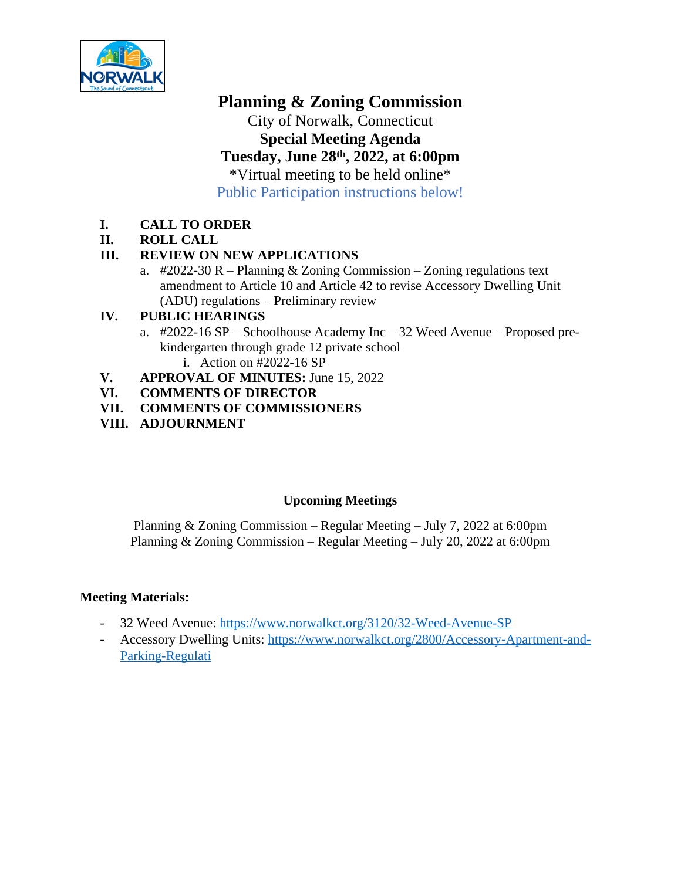

# **Planning & Zoning Commission**

City of Norwalk, Connecticut **Special Meeting Agenda Tuesday, June 28th, 2022, at 6:00pm** \*Virtual meeting to be held online\* Public Participation instructions below!

## **I. CALL TO ORDER**

## **II. ROLL CALL**

## **III. REVIEW ON NEW APPLICATIONS**

a.  $\text{\#2022-30 R} - \text{Planning } \&$  Zoning Commission – Zoning regulations text amendment to Article 10 and Article 42 to revise Accessory Dwelling Unit (ADU) regulations – Preliminary review

## **IV. PUBLIC HEARINGS**

- a. #2022-16 SP Schoolhouse Academy Inc 32 Weed Avenue Proposed prekindergarten through grade 12 private school i. Action on #2022-16 SP
- **V. APPROVAL OF MINUTES:** June 15, 2022<br>**VI. COMMENTS OF DIRECTOR**
- **VI. COMMENTS OF DIRECTOR**
- **VII. COMMENTS OF COMMISSIONERS**
- **VIII. ADJOURNMENT**

## **Upcoming Meetings**

Planning & Zoning Commission – Regular Meeting – July 7, 2022 at 6:00pm Planning & Zoning Commission – Regular Meeting – July 20, 2022 at 6:00pm

#### **Meeting Materials:**

- 32 Weed Avenue: <https://www.norwalkct.org/3120/32-Weed-Avenue-SP>
- Accessory Dwelling Units: [https://www.norwalkct.org/2800/Accessory-Apartment-and-](https://www.norwalkct.org/2800/Accessory-Apartment-and-Parking-Regulati)Parking-Regulati